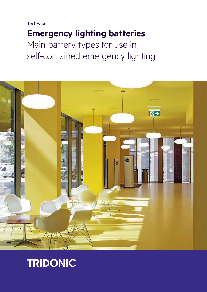**TechPaper** 

# **Emergency lighting batteries** Main battery types for use in self-contained emergency lighting



# TRIDONIC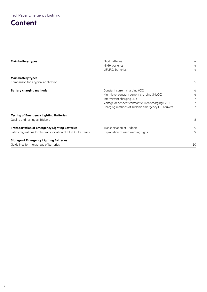## **Content**

| Main battery types                                                         | NiCd batteries                                     | 4  |
|----------------------------------------------------------------------------|----------------------------------------------------|----|
|                                                                            | NiMH batteries                                     | 4  |
|                                                                            | LiFePO <sub>4</sub> batteries                      | 4  |
| Main battery types                                                         |                                                    |    |
| Comparison for a typical application                                       |                                                    | 5  |
| <b>Battery charging methods</b>                                            | Constant current charging (CC)                     | 6  |
|                                                                            | Multi-level constant current charging (MLCC)       | 6  |
|                                                                            | Intermittent charging (IC)                         |    |
|                                                                            | Voltage dependent constant current charging (VC)   |    |
|                                                                            | Charging methods of Tridonic emergency LED drivers |    |
| Testing of Emergency Lighting Batteries                                    |                                                    |    |
| Quality and testing at Tridonic                                            |                                                    | 8  |
| Transportation of Emergency Lighting Batteries                             | Transportation at Tridonic                         | 9  |
| Safety regulations for the transportation of LiFePO <sub>4</sub> batteries | Explanation of used warning signs                  | 9  |
| <b>Storage of Emergency Lighting Batteries</b>                             |                                                    |    |
| Guidelines for the storage of batteries                                    |                                                    | 10 |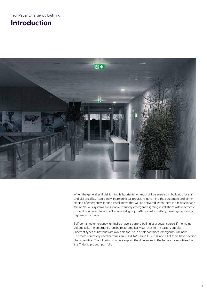## **Introduction**



When the general artificial lighting fails, orientation must still be ensured in buildings for staff and visitors alike. Accordingly, there are legal provisions governing the equipment and dimensioning of emergency lighting installations that will be activated when there is a mains voltage failure. Various systems are suitable to supply emergency lighting installations with electricity in event of a power failure: self-contained, group battery, central battery, power generators or high-security mains.

Self-contained emergency luminaires have a battery built in as a power source. If the mains voltage fails, the emergency luminaire automatically switches to the battery supply. Different types of batteries are available for use in a self-contained emergency luminaire. The most commonly used batteries are NiCd, NiMH and LiFePO4 and all of them have specific characteristics. The following chapters explain the differences in the battery types utilised in the Tridonic product portfolio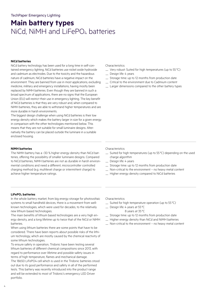## **Main battery types** NiCd, NiMH and LiFePO<sub>4</sub> batteries

## **NiCd batteries**

NiCd battery technology has been used for a long time in self-contained emergency lighting. NiCd batteries use nickel oxide hydroxide and cadmium as electrodes. Due to the toxicity and the hazardous nature of cadmium, NiCd batteries have a negative impact on the environment. They are banned from use in most applications, excluding medicine, military and emergency installations, having mostly been replaced by NiMH batteries. Even though they are banned in such a broad spectrum of applications, there are no signs that the European Union (EU) will restrict their use in emergency lighting. The key benefit of NiCd batteries is that they are very robust and, when compared to NiMH batteries, they are able to withstand higher temperatures and are more durable in harsh environments.

The biggest design challenge when using NiCd batteries is their low energy density which makes the battery larger in size for a given energy in comparison with the other technologies mentioned below. This means that they are not suitable for small luminaire designs. Alternatively the battery can be placed outside the luminare in a suitable enclosed housing.

## **NiMH batteries**

The NiMH battery has a ~30 % higher energy density than NiCd batteries, offering the possibility of smaller luminaire designs. Compared to NiCd batteries, NiMH batteries are not as durable in harsh environmental conditions and need a different, microcontroller controlled charging method (e.g. multilevel charge or intermittent charge) to achieve higher temperature ratings.

### Characteristics:

- $\equiv$  Very robust: Suited for high temperatures (up to 55 °C)
- Design life: 4 years
- Storage time: up to 12 months from production date
- Critical to the environment due to Cadmium content
- Larger dimensions compared to the other battery types

### Characteristics:

- Suited for high temperatures (up to 55 °C) depending on the used charge algorithm
- Design life: 4 years
- Storage time: up to 12 months from production date
- Non-critical to the environment no heavy metal content
- Higher energy density compared to NiCd batteries

### **LiFePO4 batteries**

In the whole battery market, from big energy storage for photovoltaic systems to small handheld devices, there is a movement from wellknown technologies, which were used for decades, to the relatively new lithium based technologies.

The main benefits of lithium based technologies are a very high energy density, and a long lifetime up to twice that of the NiCd or NiMH batteries.

When using lithium batteries there are some points that have to be considered. There have been reports about possible risks of the lithium technology, which are mostly caused by the chemical reactivity of some lithium technologies.

To ensure safety in operation, Tridonic have been testing several lithium batteries of different chemical compositions since 2013, with regard to performance over lifetime and possible safety issues in terms of high temperature, flames and mechanical damage. The 18650 LiFePO4 cell which is used in the Tridonic batteries stood out due to its good performance and safety in all of the performed tests. This battery was recently introduced into the product range and will be extended to most of Tridonic's emergency LED Driver portfolio.

Characteristics:

- $\equiv$  Suited for high temperature operation (up to 55 °C)
- Design life: 4 years at 55 °C
	- 8 years at 35 °C
- Storage time: up to 12 months from production date
- Higher energy density than NiCd and NiMH batteries
- Non-critical to the environment no heavy metal content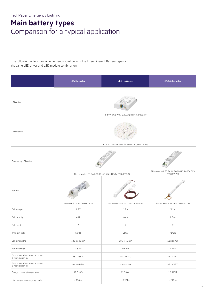## **Main battery types** Comparison for a typical application

The following table shows an emergency solution with the three different Battery types for the same LED driver and LED module combination.

|                                                         | <b>NiCd batteries</b>                  | <b>NiMH batteries</b>                                                                  | LiFePO <sub>4</sub> batteries                |
|---------------------------------------------------------|----------------------------------------|----------------------------------------------------------------------------------------|----------------------------------------------|
| LED driver                                              |                                        | LC 17W 250-700mA flexC C EXC (28000693)                                                |                                              |
| LED module                                              | CLE G3 160mm 3000lm 840 ADV (89602857) |                                                                                        |                                              |
| Emergency LED driver                                    |                                        |                                                                                        | EM converterLED BASIC 202 MH/LiFePO4 50V     |
| Battery                                                 | Accu-NiCd 2A 55 (89800092)             | EM converterLED BASIC 202 NiCd/ NiMH 50V (89800558)<br>Accu-NiMH 4Ah 2A CON (28002316) | (89800575)<br>Accu-LiFePO4 2A CON (28002318) |
| Cell voltage                                            | 1.2V                                   | 1.2V                                                                                   | 3.2V                                         |
| Cell capacity                                           | 4 Ah                                   | 4 Ah                                                                                   | $1.5$ Ah                                     |
| Cell count                                              | $\overline{2}$                         | $\overline{2}$                                                                         | $\overline{2}$                               |
| Wiring of cells                                         | Series                                 | Series                                                                                 | Parallel                                     |
| Cell dimensions                                         | 32.5 x 60.5 mm                         | 18.3 x 90 mm                                                                           | $18 \times 65$ mm                            |
| Battery energy                                          | 9.6 Wh                                 | 9.6 Wh                                                                                 | 9.6 Wh                                       |
| Case temperature range to ensure<br>4 years design life | $+5 - +55$ °C                          | $+5 - +45$ °C                                                                          | $+5 - +55$ °C                                |
| Case temperature range to ensure<br>8 years design life | not available                          | not available                                                                          | $+5 - +35$ °C                                |
| Energy consumption per year                             | 19,3 kWh                               | 19,3 kWh                                                                               | 12,5 kWh                                     |
| Light output in emergency mode                          | $\sim 290$ lm                          | $\sim 290$ lm                                                                          | $\sim 290$ lm                                |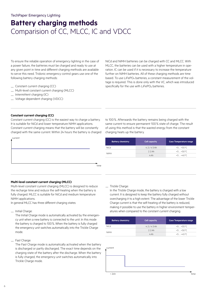## TechPaper Emergency Lighting

## **Battery charging methods**  Comparision of CC, MLCC, IC and VDCC

To ensure the reliable operation of emergency lighting in the case of a power failure, the batteries must be charged and ready to use at any given point in time and different charging methods are available to serve this need. Tridonic emergency control gears use one of the following battery charging methods:

- Constant current charging (CC)
- Multi-level constant current charging (MLCC)
- Intermittent charging (IC)
- Voltage dependent charging (VDCC)

NiCd and NiMH batteries can be charged with CC and MLCC. With MLCC, the batteries can be used with a higher temperature in operation. IC can be used if it is necessary to increase the temperature further on NiMH batteries. All of these charging methods are time based. To use LiFePO4 batteries, a constant measurement of the voltage is required. This is done only with the VC, which was introduced specifically for the use with LiFePO<sub>4</sub> batteries.

## **Constant current charging (CC)**

Constant current charging (CC) is the easiest way to charge a battery. It is suitable for NiCd and lower temperature NiMH applications. Constant current charging means that the battery will be constantly charged with the same current. Within 24 hours the battery is charged



to 100%. Afterwards the battery remains being charged with the same current to ensure permanent 100% state of charge. The result of using this method is that the wasted energy from the constant charging heats up the battery.

| <b>Battery chemistry</b> | <b>Cell capacity</b> | Case Temperature range |
|--------------------------|----------------------|------------------------|
| NiC.d                    | $4.2 / 4.5$ Ah       | $+5 + 55$ °C           |
|                          | $2.2$ Ah             | $+5 + 50$ °C           |
| <b>NiMH</b>              | 4 Ah                 | $+5 + 40$ °C           |

### **Multi-level constant current charging (MLCC)**

Multi-level constant current charging (MLCC) is designed to reduce the recharge time and reduce the self-heating when the battery is fully charged. MLCC is suitable for NiCd and medium temperature NiMH applications.

In general MLCC has three different charging states:

— Initial Charge:

The Initial Charge mode is automatically activated by the emergency unit when a new battery is connected to the unit. In this mode the battery is charged to 100%. When the battery is fully charged the emergency unit switches automatically into the Trickle Charge mode.

— Fast Charge:

The Fast Charge mode is automatically activated when the battery is discharged or partly discharged. The exact time depends on the charging state of the battery after the discharge. When the battery is fully charged, the emergency unit switches automatically into Trickle Charge mode.

#### — Trickle Charge:

In the Trickle Charge mode, the battery is charged with a low current. It is designed to keep the battery fully charged without overcharging it to a high extent. The advantage of the lower Trickle Charge current is that the self-heating of the battery is reduced, making it possible to use the battery in higher environment temperatures when compared to the constant current charging.

| <b>Battery chemistry</b> | <b>Cell capacity</b> | <b>Case Temperature range</b> |
|--------------------------|----------------------|-------------------------------|
| NiCd                     | $4.2/4.5$ Ah         | $+5 + 55$ °C                  |
| <b>NiMH</b>              | $2.2$ Ah             | $+5 + 50$ °C                  |
|                          | 4 Ah                 | $+5 + 45$ °C                  |



 $< 24h$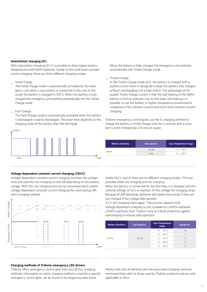### **Intermittent charging (IC)**

With intermittent charging (IC) it is possible to allow higher battery temperatures with NiMH batteries. Similar to the multi-level constant current charging, there are three different charging modes:

## — Initial Charge:

The Initial Charge mode is automatically activated by the emergency unit when a new battery is connected to the unit. In this mode the battery is charged to 100%. When the battery is fully charged the emergency unit switches automatically into the Trickle Charge mode.

#### — Fast Charge:

The Fast Charge mode is automatically activated when the battery is discharged or partly discharged. The exact time depends on the charging state of the battery after the discharge.



## **Voltage dependent constant current charging (VDCC)**

Voltage dependent constant current charging monitors the voltage level and switches the charging on and off depending on the battery voltage. With this, the charging time can be minimised which makes voltage dependent constant current charging the most energy efficient charging method.



## **Charging methods of Tridonic emergency LED drivers**

Tridonic offers emergency control gear that uses all four charging methods. Information on which charging method is used for a specific emergency control gear can be found in the respective data sheet.

When the battery is fully charged, the emergency unit switches automatically into Trickle Charge mode.

### — Trickle Charge:

In the Trickle Charge mode of IC, the battery is charged with a pulsed current which is designed to keep the battery fully charged without overcharging it at a high extent. The advantage of the pulsed Trickle Charge current is that the self-heating of the NiMH battery is further reduced. Due to this lower self heating it is possible to use the battery in higher temperature environments compared to the constant current and multi-level constant current charging.

Tridonic emergency control gears use the IC charging method to charge the battery in trickle charge state for 4 minutes with a constant current, followed by a 16 minute pause.

| <b>Battery chemistry</b> | <b>Cell capacity</b> | <b>Case Temperature range</b> |
|--------------------------|----------------------|-------------------------------|
| <b>NiMH</b>              | $2.2$ Ah             | $+5 + 55^{\circ}$ C           |
|                          | 4 Ah                 | $+5 + 50$ °C                  |
|                          |                      |                               |

Unlike MLCC and IC there are no different charging modes. The two possible states are charging and not charging.

When the battery is connected for the first time, it is charged until the nominal voltage of 3.6V is reached. At this voltage the charging stops. Because of self-discharge, batteries will slowly lose energy if they are not charged. If the voltage falls beneath

3.4V, the charging starts again. This process repeats itself. Voltage dependent charging is only suitable for LiFePO4 batteries. LiFePO4 batteries from Tridonic have an inbuilt protection against overcharging to ensure safe operation.

| <b>Cell capacity</b>     | <b>Case Temperature</b><br>range | <b>Design life</b> |
|--------------------------|----------------------------------|--------------------|
|                          | $+5 + 35$ °C                     | 8                  |
|                          | $+5 - +40$ °C                    |                    |
| $1.5$ Ah<br>$+5 + 45$ °C | 6                                |                    |
|                          | $+5 + 50$ °C                     | 5                  |
|                          | $+5 + 55$ °C                     | 4                  |
|                          |                                  |                    |

Please note that all batteries and the associated charging methods mentioned here refer to those used by Tridonic products and are only applicable to them.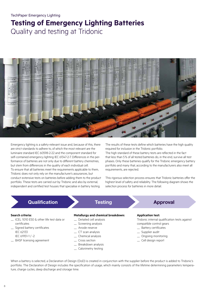## **Testing of Emergency Lighting Batteries** Quality and testing at Tridonic



Emergency lighting is a safety-relevant issue and, because of this, there are strict standards to adhere to, of which the most relevant are the luminaire standard IEC 60598-2-22 and the component standard for self-contained emergency lighting IEC 61347-2-7. Differences in the performance of batteries are not only due to different battery chemistries, but stem from differences in the quality of each individual cell. To ensure that all batteries meet the requirements applicable to them, Tridonic does not only rely on the manufacturer's assurances, but conduct extensive tests on batteries before adding them to the product portfolio. These tests are carried out by Tridonic and also by external, independent and certified test houses that specialise in battery testing.

The results of these tests define which batteries have the high quality required for inclusion in the Tridonic portfolio.

The high standard of these battery tests are reflected in the fact that less than 5% of all tested batteries do, in the end, survive all test phases. Only these batteries qualify for the Tridonic emergency battery portfolio and many that, according to the manufacturers also meet all requirements, are rejected.

This rigorous selection process ensures that Tridonic batteries offer the highest level of safety and reliability. The following diagram shows the selection process for batteries in more detail.

## Qualification **Approval**

## **Search criteria:**

- ICEL 1010 E50 & other life test data or certificates
- Signed battery certificates IEC 62133
- IEC 61951-1 / -2
- BASF licensing agreement

## **Metallurgy and chemical breakdown:**

- Detailed cell analysis
- Screening analysis
- Anode reserve
- CT scan analysis
- Chemical analysis
- Cross section
- Breakdown analysis
- Calorimetry testing

## **Application test:**

Tridonic internal qualification tests against compatible control gears

- Battery certificates
- Supplier audit
- Ongoing monitoring
- Cell design report

When a battery is selected, a Declaration of Design (DoD) is created in conjunction with the supplier before the product is added to Tridonic's portfolio. The Declaration of Design includes the specification of usage, which mainly consists of the lifetime determining parameters temperature, charge cycles, deep discharge and storage time.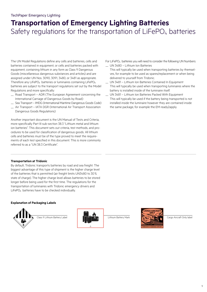## TechPaper Emergency Lighting

## **Transportation of Emergency Lighting Batteries**  Safety regulations for the transportation of  $L$ iFePO<sub>4</sub> batteries

The UN Model Regulations define any cells and batteries, cells and batteries contained in equipment, or cells and batteries packed with equipment, containing lithium in any form as Class 9 Dangerous Goods (miscellaneous dangerous substances and articles) and are assigned under UN Nos. 3090, 3091, 3480, or 3481 as appropriate. Therefore any LiFePO<sub>4</sub> batteries or luminaires containing LiFePO<sub>4</sub> batteries are subject to the transport regulations set out by the Model Regulations and more specifically:

- Road Transport ADR (The European Agreement concerning the International Carriage of Dangerous Goods by Road)
- Sea Transport IMDG (International Maritime Dangerous Goods Code)
- Air Transport IATA DGR (International Air Transport Association Dangerous Goods Regulations)

Another important document is the UN Manual of Tests and Criteria, more specifically Part III sub-section 38.3 "Lithium metal and lithium ion batteries". This document sets out criteria, test methods, and procedures to be used for classification of dangerous goods. All lithium cells and batteries must be of the type proved to meet the requirements of each test specified in this document. This is more commonly referred to as a "UN 38.3 Certificate".

## **Transportation at Tridonic**

By default, Tridonic transports batteries by road and sea freight. The biggest advantage of this type of shipment is the higher charge level of the batteries that is permitted (air freight limits UN3480 to 30% state of charge). The higher charge level allows batteries to be stored longer before being used for the first time. The regulations for the transportation of luminaires with Tridonic emergency drivers and LiFePO4 batteries have to be checked individually.

## **Explanation of Packaging Labels**







For LiFePO<sub>4</sub> batteries you will need to consider the following UN Numbers: — UN 3480 – Lithium Ion Batteries

This will typically be used when transporting batteries by themselves, for example to be used as spares/replacement or when being delivered to yourself from Tridonic.

— UN 3481 – Lithium Ion Batteries Contained In Equipment This will typically be used when transporting luminaires where the battery is installed inside of the luminaire itself.

— UN 3481 – Lithium Ion Batteries Packed With Equipment This will typically be used if the battery being transported is not installed inside the luminaire however they are contained inside the same package, for example the EM ready2apply.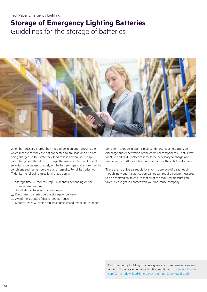# **Storage of Emergency Lighting Batteries**

Guidelines for the storage of batteries



When batteries are stored they need to be in an open circuit state, which means that they are not connected to any load and also not being charged. In this state they tend to lose any previously applied charge and therefore discharge themselves. The exact rate of self-discharge depends largely on the battery type and environmental conditions such as temperature and humidity. For all batteries from Tridonic, the following rules for storage apply:

- Storage time: <6 months resp. <12 months depending on the storage temperature
- Avoid atmosphere with corrosive gas
- Disconnect batteries before storage or delivery
- Avoid the storage of discharged batteries
- Store batteries within the required humidity and temperature ranges

Long-term storage in open circuit conditions leads to battery self discharge and deactivation of the chemical components. That is why for NiCd and NiMH batteries it could be necessary to charge and discharge the batteries a few times to recover the initial performance.

There are no universal regulations for the storage of batteries although individual insurance companies can require certain measures to be observed so, to ensure that all of the required measures are taken, please get in contact with your insurance company.

Our Emergency Lighting brochure gives a comprehensive overview on all of Tridonic's emergency lighting solutions: https://www.tridonic. com/com/en/download/Emergency\_Lighting\_Overview\_EN.pdf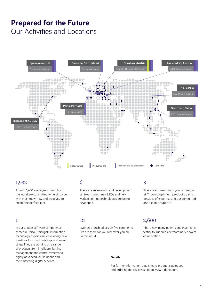## **Prepared for the Future** Our Activities and Locations



## 1,932

Around 1,900 employees throughout the world are committed to helping you with their know-how and creativity to create the perfect light.

In our unique software competence center in Porto (Portugal), information technology experts are developing new solutions for smart buildings and smart cities. They are working on a range of products from intelligent lighting management and control systems to highly advanced IoT solutions and their matching digital services.

## 6 3

There are six research and development centres in which new LEDs and networked lighting technologies are being developed.

#### 21 1 2,600

With 21 branch offices on five continents we are there for you wherever you are in the world.

## **Details**

For further information, data sheets, product catalogues and ordering details, please go to www.tridonic.com.

of innovation.

There are three things you can rely on at Tridonic: optimum product quality, decades of expertise and our committed

That's how many patents and inventions testify to Tridonic's extraordinary powers

and flexible support.